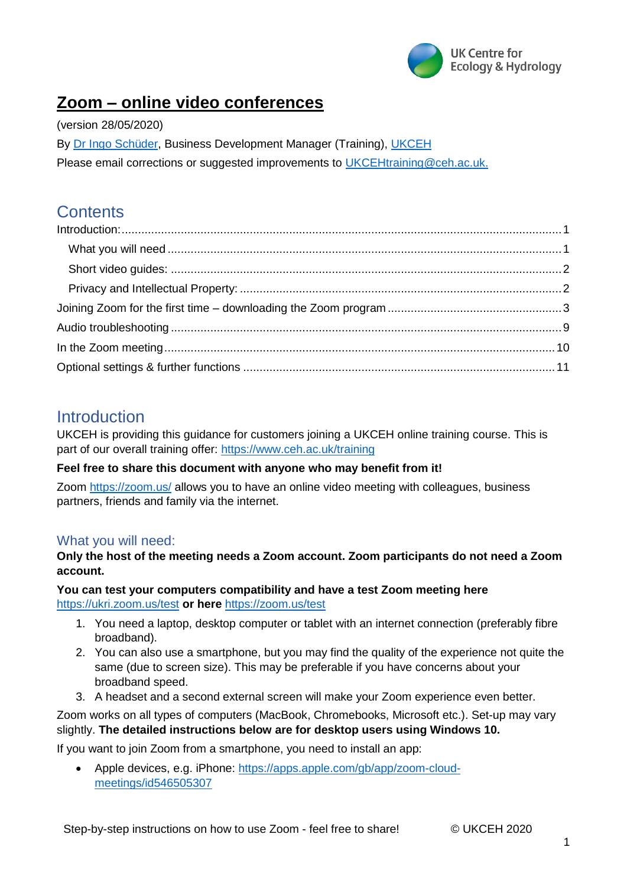

# **Zoom – online video conferences**

(version 28/05/2020)

By [Dr Ingo Schüder,](https://www.ceh.ac.uk/staff/ingo-sch%C3%BCder) Business Development Manager (Training), [UKCEH](https://www.ceh.ac.uk/)

Please email corrections or suggested improvements to [UKCEHtraining@ceh.ac.uk.](mailto:UKCEHtraining@ceh.ac.uk)

## **Contents**

### <span id="page-0-0"></span>Introduction

UKCEH is providing this guidance for customers joining a UKCEH online training course. This is part of our overall training offer:<https://www.ceh.ac.uk/training>

### **Feel free to share this document with anyone who may benefit from it!**

Zoom<https://zoom.us/> allows you to have an online video meeting with colleagues, business partners, friends and family via the internet.

### <span id="page-0-1"></span>What you will need:

### **Only the host of the meeting needs a Zoom account. Zoom participants do not need a Zoom account.**

**You can test your computers compatibility and have a test Zoom meeting here**  <https://ukri.zoom.us/test> **or here** <https://zoom.us/test>

- 1. You need a laptop, desktop computer or tablet with an internet connection (preferably fibre broadband).
- 2. You can also use a smartphone, but you may find the quality of the experience not quite the same (due to screen size). This may be preferable if you have concerns about your broadband speed.
- 3. A headset and a second external screen will make your Zoom experience even better.

### Zoom works on all types of computers (MacBook, Chromebooks, Microsoft etc.). Set-up may vary slightly. **The detailed instructions below are for desktop users using Windows 10.**

If you want to join Zoom from a smartphone, you need to install an app:

 Apple devices, e.g. iPhone: [https://apps.apple.com/gb/app/zoom-cloud](https://apps.apple.com/gb/app/zoom-cloud-meetings/id546505307)[meetings/id546505307](https://apps.apple.com/gb/app/zoom-cloud-meetings/id546505307)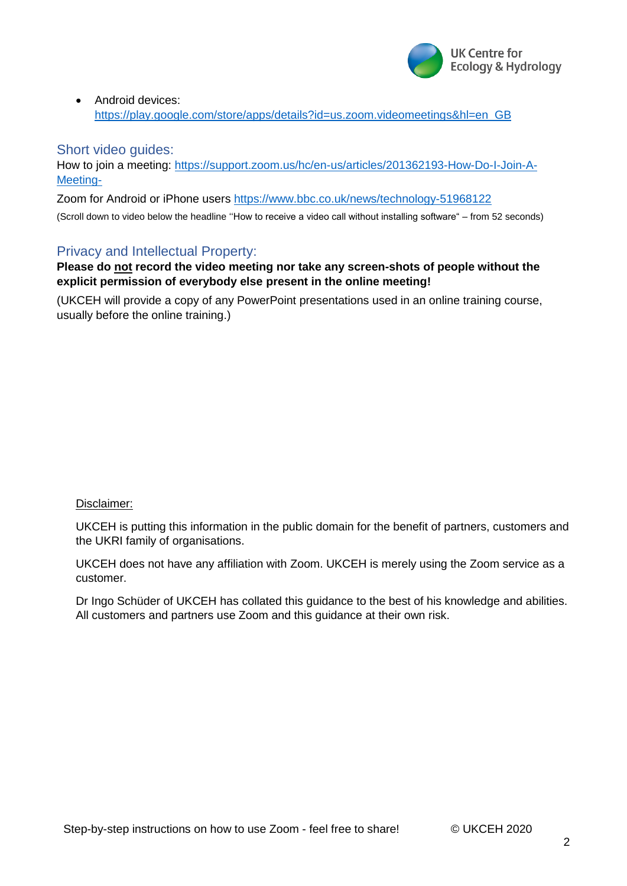

• Android devices: [https://play.google.com/store/apps/details?id=us.zoom.videomeetings&hl=en\\_GB](https://play.google.com/store/apps/details?id=us.zoom.videomeetings&hl=en_GB)

### <span id="page-1-0"></span>Short video guides:

How to join a meeting: [https://support.zoom.us/hc/en-us/articles/201362193-How-Do-I-Join-A-](https://support.zoom.us/hc/en-us/articles/201362193-How-Do-I-Join-A-Meeting-)[Meeting-](https://support.zoom.us/hc/en-us/articles/201362193-How-Do-I-Join-A-Meeting-)

Zoom for Android or iPhone users<https://www.bbc.co.uk/news/technology-51968122>

(Scroll down to video below the headline ''How to receive a video call without installing software" – from 52 seconds)

#### <span id="page-1-1"></span>Privacy and Intellectual Property:

**Please do not record the video meeting nor take any screen-shots of people without the explicit permission of everybody else present in the online meeting!**

(UKCEH will provide a copy of any PowerPoint presentations used in an online training course, usually before the online training.)

#### Disclaimer:

UKCEH is putting this information in the public domain for the benefit of partners, customers and the UKRI family of organisations.

UKCEH does not have any affiliation with Zoom. UKCEH is merely using the Zoom service as a customer.

Dr Ingo Schüder of UKCEH has collated this guidance to the best of his knowledge and abilities. All customers and partners use Zoom and this guidance at their own risk.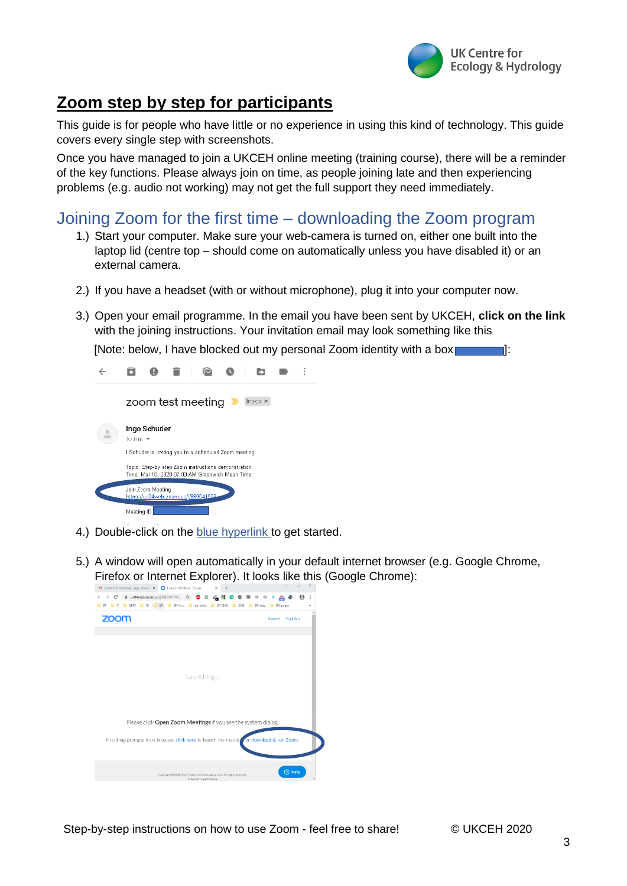

# **Zoom step by step for participants**

This guide is for people who have little or no experience in using this kind of technology. This guide covers every single step with screenshots.

Once you have managed to join a UKCEH online meeting (training course), there will be a reminder of the key functions. Please always join on time, as people joining late and then experiencing problems (e.g. audio not working) may not get the full support they need immediately.

### <span id="page-2-0"></span>Joining Zoom for the first time – downloading the Zoom program

- 1.) Start your computer. Make sure your web-camera is turned on, either one built into the laptop lid (centre top – should come on automatically unless you have disabled it) or an external camera.
- 2.) If you have a headset (with or without microphone), plug it into your computer now.
- 3.) Open your email programme. In the email you have been sent by UKCEH, **click on the link** with the joining instructions. Your invitation email may look something like this

[Note: below, I have blocked out my personal Zoom identity with a box **[14]**:



- 4.) Double-click on the blue hyperlink to get started.
- 5.) A window will open automatically in your default internet browser (e.g. Google Chrome, Firefox or Internet Explorer). It looks like this (Google Chrome):

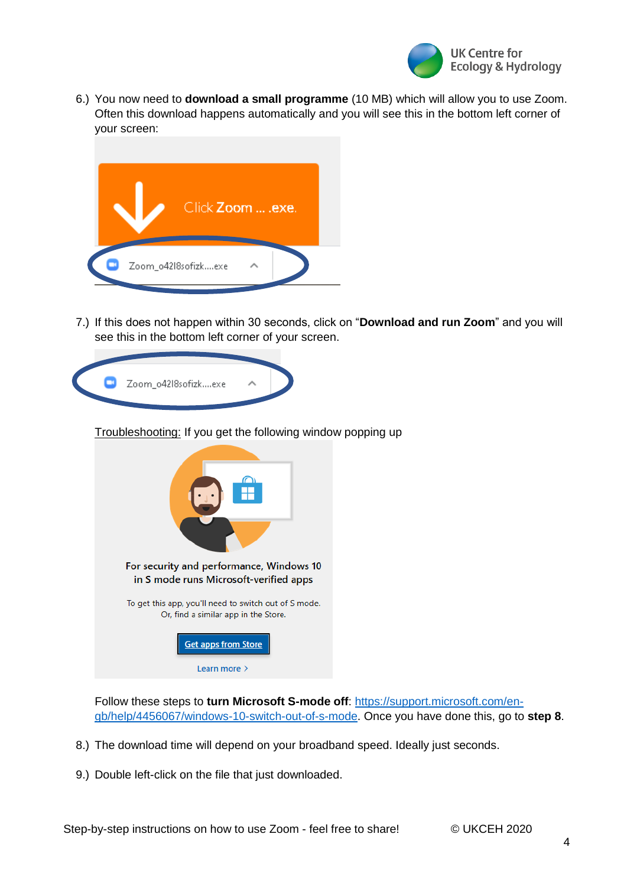

6.) You now need to **download a small programme** (10 MB) which will allow you to use Zoom. Often this download happens automatically and you will see this in the bottom left corner of your screen:



7.) If this does not happen within 30 seconds, click on "**Download and run Zoom**" and you will see this in the bottom left corner of your screen.



Troubleshooting: If you get the following window popping up



Follow these steps to **turn Microsoft S-mode off**: [https://support.microsoft.com/en](https://support.microsoft.com/en-gb/help/4456067/windows-10-switch-out-of-s-mode)[gb/help/4456067/windows-10-switch-out-of-s-mode.](https://support.microsoft.com/en-gb/help/4456067/windows-10-switch-out-of-s-mode) Once you have done this, go to **step 8**.

- 8.) The download time will depend on your broadband speed. Ideally just seconds.
- 9.) Double left-click on the file that just downloaded.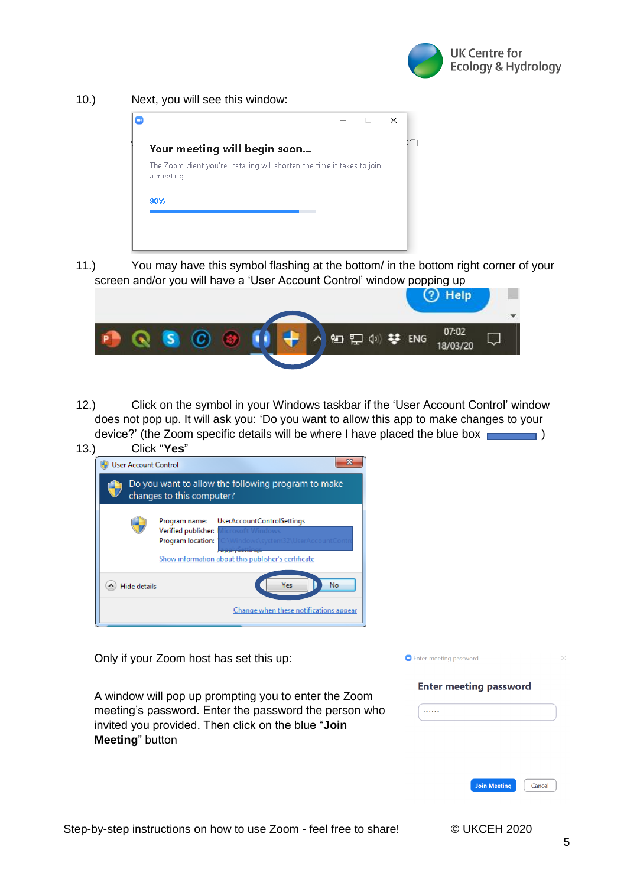

10.) Next, you will see this window:

|                                                                                       |  | $\times$ |  |
|---------------------------------------------------------------------------------------|--|----------|--|
| Your meeting will begin soon                                                          |  |          |  |
| The Zoom client you're installing will shorten the time it takes to join<br>a meeting |  |          |  |
| 90%                                                                                   |  |          |  |

11.) You may have this symbol flashing at the bottom/ in the bottom right corner of your screen and/or you will have a 'User Account Control' window popping up

|            |                   |      |                     |  | Help |  |
|------------|-------------------|------|---------------------|--|------|--|
| <b>SEA</b> | $\omega$ $\omega$ | fa + | 知日07:02<br>18/03/20 |  |      |  |
|            |                   |      |                     |  |      |  |

12.) Click on the symbol in your Windows taskbar if the 'User Account Control' window does not pop up. It will ask you: 'Do you want to allow this app to make changes to your device?' (the Zoom specific details will be where I have placed the blue box  $\sim$  )

| 13. |                             | Click "Yes"                                                                                                                                                                           |
|-----|-----------------------------|---------------------------------------------------------------------------------------------------------------------------------------------------------------------------------------|
|     | <b>User Account Control</b> |                                                                                                                                                                                       |
|     |                             | Do you want to allow the following program to make<br>changes to this computer?                                                                                                       |
|     |                             | <b>UserAccountControlSettings</b><br>Program name:<br>Verified publisher:<br>Program location:<br><b>ENGINEERING CONTINUES</b><br>Show information about this publisher's certificate |
|     | <b>Hide details</b>         | No<br>Yes                                                                                                                                                                             |
|     |                             | Change when these notifications appear                                                                                                                                                |

Only if your Zoom host has set this up:

A window will pop up prompting you to enter the Zoom meeting's password. Enter the password the person who invited you provided. Then click on the blue "**Join Meeting**" button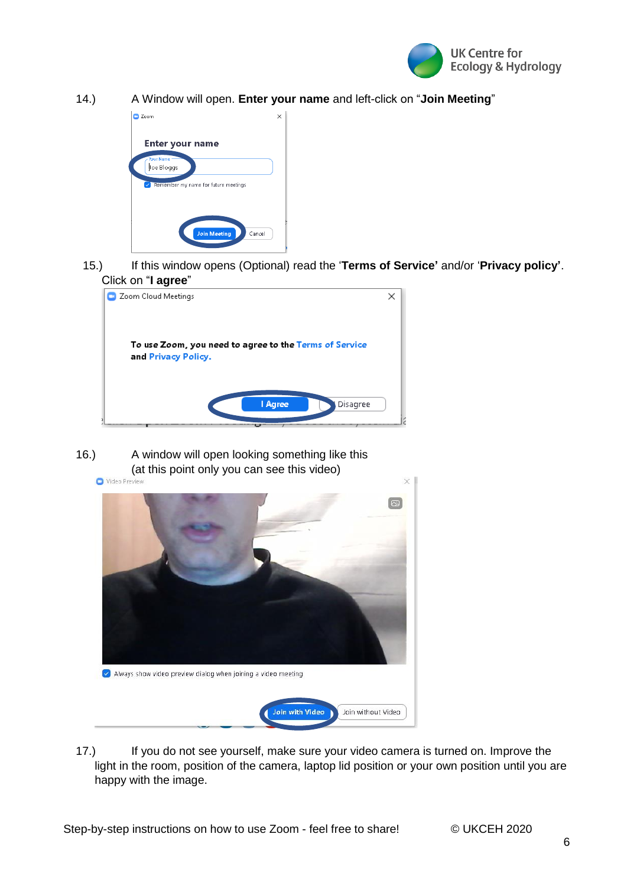

14.) A Window will open. **Enter your name** and left-click on "**Join Meeting**"



15.) If this window opens (Optional) read the '**Terms of Service'** and/or '**Privacy policy'**. Click on "**I agree**"



16.) A window will open looking something like this (at this point only you can see this video)



17.) If you do not see yourself, make sure your video camera is turned on. Improve the light in the room, position of the camera, laptop lid position or your own position until you are happy with the image.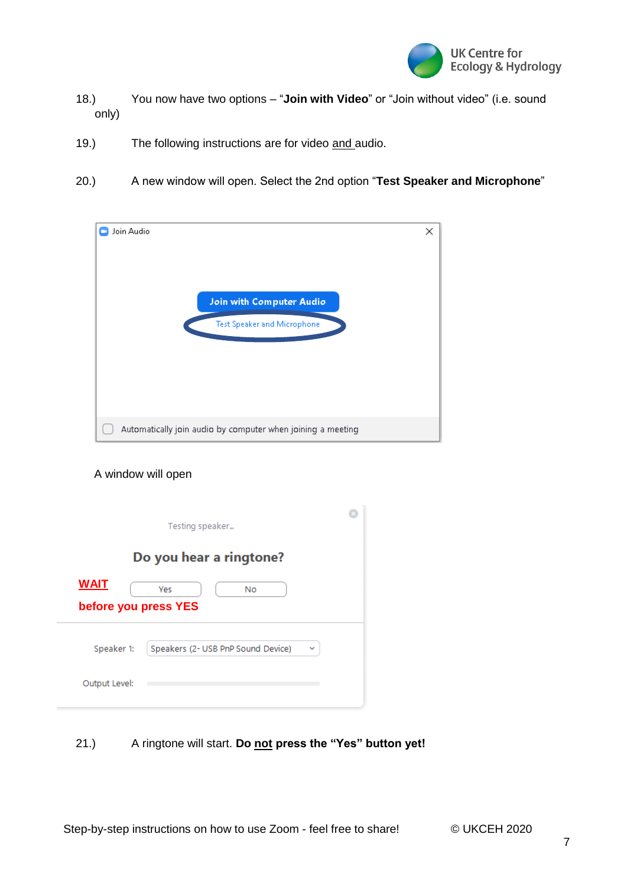

- 18.) You now have two options "**Join with Video**" or "Join without video" (i.e. sound only)
- 19.) The following instructions are for video and audio.
- 20.) A new window will open. Select the 2nd option "**Test Speaker and Microphone**"

| Join Audio                                                  | × |
|-------------------------------------------------------------|---|
| <b>Join with Computer Audio</b>                             |   |
| <b>Test Speaker and Microphone</b>                          |   |
|                                                             |   |
| Automatically join audio by computer when joining a meeting |   |

#### A window will open

|                                     | Testing speaker                         |  |
|-------------------------------------|-----------------------------------------|--|
|                                     | Do you hear a ringtone?                 |  |
| <b>WAIT</b><br>before you press YES | Yes<br>No                               |  |
| Speaker 1:                          | Speakers (2- USB PnP Sound Device)<br>v |  |
| Output Level:                       |                                         |  |

21.) A ringtone will start. **Do not press the "Yes" button yet!**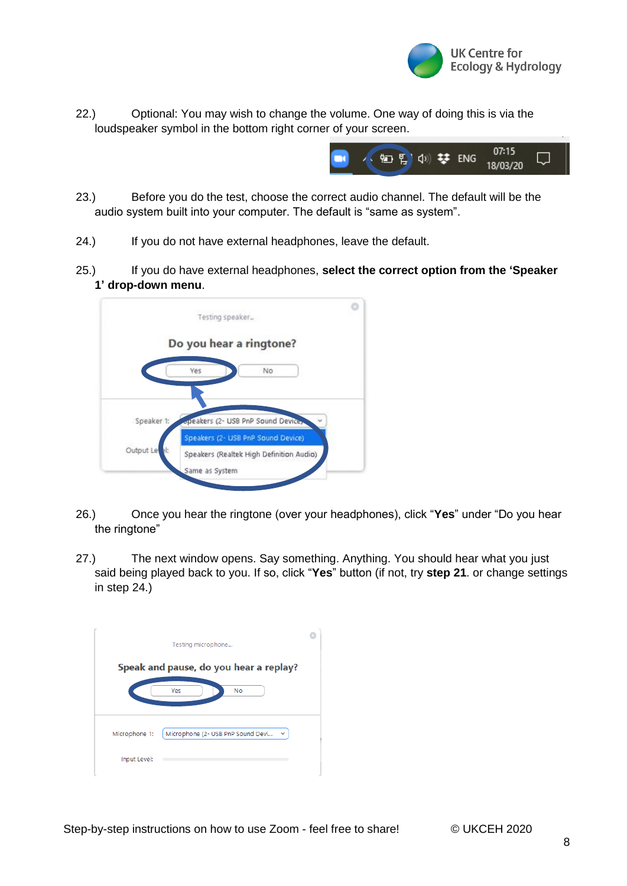

22.) Optional: You may wish to change the volume. One way of doing this is via the loudspeaker symbol in the bottom right corner of your screen.



- 23.) Before you do the test, choose the correct audio channel. The default will be the audio system built into your computer. The default is "same as system".
- 24.) If you do not have external headphones, leave the default.
- 25.) If you do have external headphones, **select the correct option from the 'Speaker 1' drop-down menu**.



- 26.) Once you hear the ringtone (over your headphones), click "**Yes**" under "Do you hear the ringtone"
- 27.) The next window opens. Say something. Anything. You should hear what you just said being played back to you. If so, click "**Yes**" button (if not, try **step 21**. or change settings in step 24.)

| Testing microphone                                                 |  |
|--------------------------------------------------------------------|--|
| Speak and pause, do you hear a replay?                             |  |
| Yes<br>No                                                          |  |
|                                                                    |  |
| Microphone (2- USB PnP Sound Devi<br>Microphone 1:<br>$\checkmark$ |  |
| Input Level:                                                       |  |
|                                                                    |  |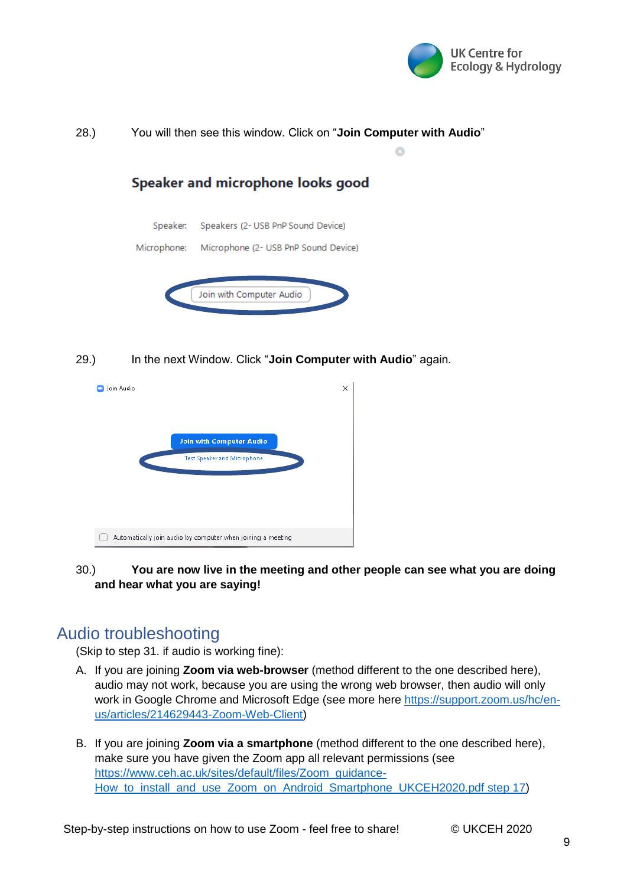



29.) In the next Window. Click "**Join Computer with Audio**" again.



30.) **You are now live in the meeting and other people can see what you are doing and hear what you are saying!** 

# <span id="page-8-0"></span>Audio troubleshooting

(Skip to step 31. if audio is working fine):

- A. If you are joining **Zoom via web-browser** (method different to the one described here), audio may not work, because you are using the wrong web browser, then audio will only work in Google Chrome and Microsoft Edge (see more here [https://support.zoom.us/hc/en](https://support.zoom.us/hc/en-us/articles/214629443-Zoom-Web-Client)[us/articles/214629443-Zoom-Web-Client\)](https://support.zoom.us/hc/en-us/articles/214629443-Zoom-Web-Client)
- B. If you are joining **Zoom via a smartphone** (method different to the one described here), make sure you have given the Zoom app all relevant permissions (see [https://www.ceh.ac.uk/sites/default/files/Zoom\\_guidance-](https://www.ceh.ac.uk/sites/default/files/Zoom_guidance-How_to_install_and_use_Zoom_on_Android_Smartphone_UKCEH2020.pdf%20step%2017)How to install and use Zoom on Android Smartphone UKCEH2020.pdf step 17)

Step-by-step instructions on how to use Zoom - feel free to share! © UKCEH 2020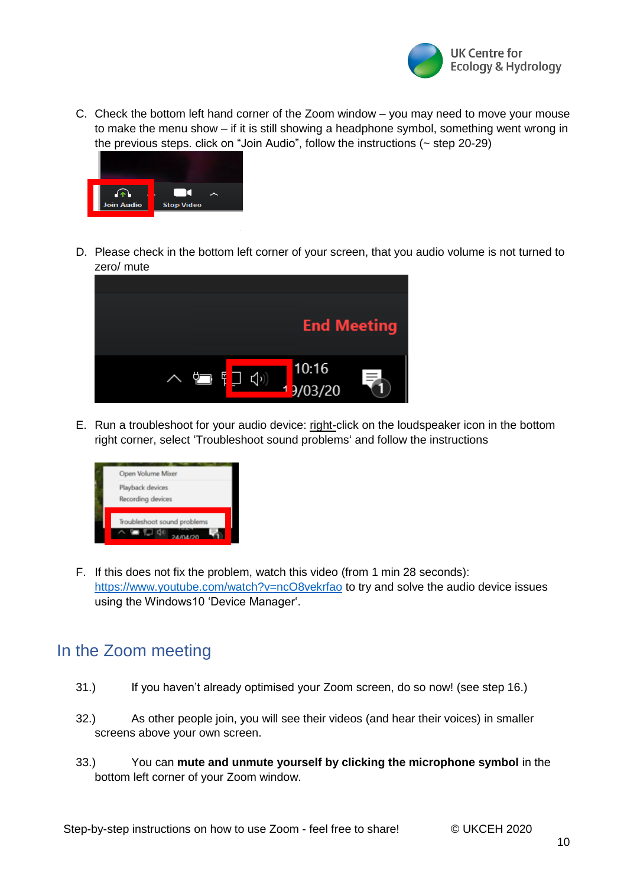

C. Check the bottom left hand corner of the Zoom window – you may need to move your mouse to make the menu show – if it is still showing a headphone symbol, something went wrong in the previous steps. click on "Join Audio", follow the instructions (~ step 20-29)



D. Please check in the bottom left corner of your screen, that you audio volume is not turned to zero/ mute



E. Run a troubleshoot for your audio device: right-click on the loudspeaker icon in the bottom right corner, select 'Troubleshoot sound problems' and follow the instructions



F. If this does not fix the problem, watch this video (from 1 min 28 seconds): <https://www.youtube.com/watch?v=ncO8vekrfao> to try and solve the audio device issues using the Windows10 'Device Manager'.

## <span id="page-9-0"></span>In the Zoom meeting

- 31.) If you haven't already optimised your Zoom screen, do so now! (see step 16.)
- 32.) As other people join, you will see their videos (and hear their voices) in smaller screens above your own screen.
- 33.) You can **mute and unmute yourself by clicking the microphone symbol** in the bottom left corner of your Zoom window.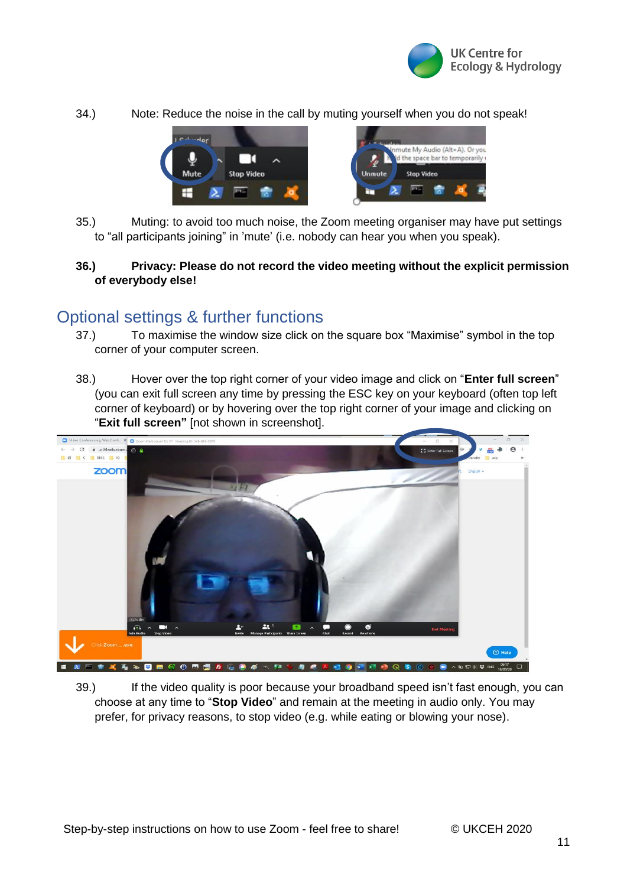

34.) Note: Reduce the noise in the call by muting yourself when you do not speak!



35.) Muting: to avoid too much noise, the Zoom meeting organiser may have put settings to "all participants joining" in 'mute' (i.e. nobody can hear you when you speak).

### **36.) Privacy: Please do not record the video meeting without the explicit permission of everybody else!**

### <span id="page-10-0"></span>Optional settings & further functions

- 37.) To maximise the window size click on the square box "Maximise" symbol in the top corner of your computer screen.
- 38.) Hover over the top right corner of your video image and click on "**Enter full screen**" (you can exit full screen any time by pressing the ESC key on your keyboard (often top left corner of keyboard) or by hovering over the top right corner of your image and clicking on "**Exit full screen"** [not shown in screenshot].



39.) If the video quality is poor because your broadband speed isn't fast enough, you can choose at any time to "**Stop Video**" and remain at the meeting in audio only. You may prefer, for privacy reasons, to stop video (e.g. while eating or blowing your nose).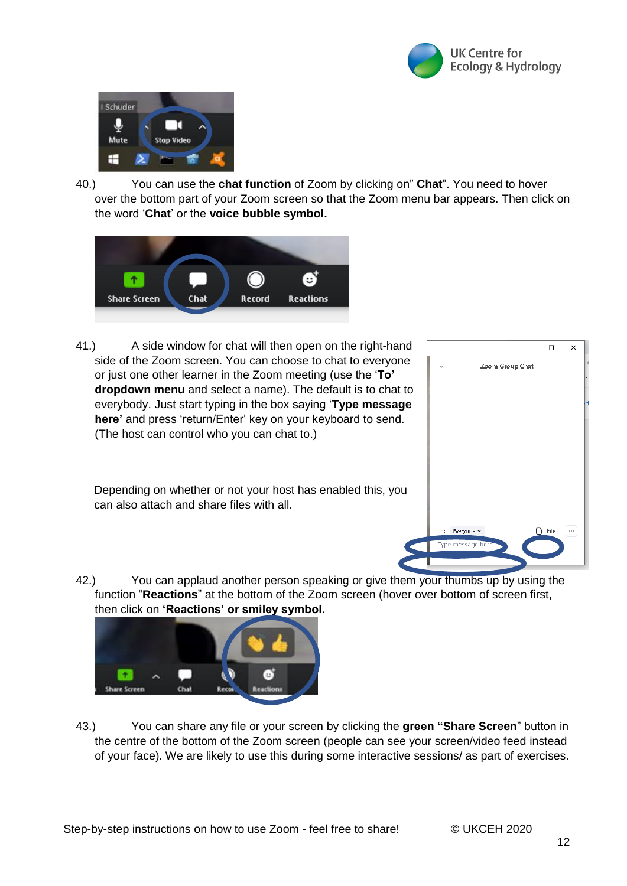



40.) You can use the **chat function** of Zoom by clicking on" **Chat**". You need to hover over the bottom part of your Zoom screen so that the Zoom menu bar appears. Then click on the word '**Chat**' or the **voice bubble symbol.**



41.) A side window for chat will then open on the right-hand side of the Zoom screen. You can choose to chat to everyone or just one other learner in the Zoom meeting (use the '**To' dropdown menu** and select a name). The default is to chat to everybody. Just start typing in the box saying '**Type message here'** and press 'return/Enter' key on your keyboard to send. (The host can control who you can chat to.)

Depending on whether or not your host has enabled this, you can also attach and share files with all.



42.) You can applaud another person speaking or give them your thumbs up by using the function "**Reactions**" at the bottom of the Zoom screen (hover over bottom of screen first, then click on **'Reactions' or smiley symbol.**



43.) You can share any file or your screen by clicking the **green "Share Screen**" button in the centre of the bottom of the Zoom screen (people can see your screen/video feed instead of your face). We are likely to use this during some interactive sessions/ as part of exercises.